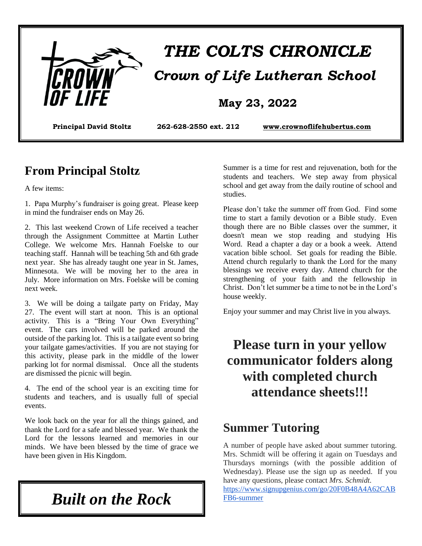

#### **From Principal Stoltz**

A few items:

1. Papa Murphy's fundraiser is going great. Please keep in mind the fundraiser ends on May 26.

2. This last weekend Crown of Life received a teacher through the Assignment Committee at Martin Luther College. We welcome Mrs. Hannah Foelske to our teaching staff. Hannah will be teaching 5th and 6th grade next year. She has already taught one year in St. James, Minnesota. We will be moving her to the area in July. More information on Mrs. Foelske will be coming next week.

3. We will be doing a tailgate party on Friday, May 27. The event will start at noon. This is an optional activity. This is a "Bring Your Own Everything" event. The cars involved will be parked around the outside of the parking lot. This is a tailgate event so bring your tailgate games/activities. If you are not staying for this activity, please park in the middle of the lower parking lot for normal dismissal. Once all the students are dismissed the picnic will begin.

4. The end of the school year is an exciting time for students and teachers, and is usually full of special events.

We look back on the year for all the things gained, and thank the Lord for a safe and blessed year. We thank the Lord for the lessons learned and memories in our minds. We have been blessed by the time of grace we have been given in His Kingdom.

*Built on the Rock*

Summer is a time for rest and rejuvenation, both for the students and teachers. We step away from physical school and get away from the daily routine of school and studies.

Please don't take the summer off from God. Find some time to start a family devotion or a Bible study. Even though there are no Bible classes over the summer, it doesn't mean we stop reading and studying His Word. Read a chapter a day or a book a week. Attend vacation bible school. Set goals for reading the Bible. Attend church regularly to thank the Lord for the many blessings we receive every day. Attend church for the strengthening of your faith and the fellowship in Christ. Don't let summer be a time to not be in the Lord's house weekly.

Enjoy your summer and may Christ live in you always.

# **Please turn in your yellow communicator folders along with completed church attendance sheets!!!**

#### **Summer Tutoring**

A number of people have asked about summer tutoring. Mrs. Schmidt will be offering it again on Tuesdays and Thursdays mornings (with the possible addition of Wednesday). Please use the sign up as needed. If you have any questions, please contact *Mrs. Schmidt.*

[https://www.signupgenius.com/go/20F0B48A4A62CAB](https://www.signupgenius.com/go/20F0B48A4A62CABFB6-summer) [FB6-summer](https://www.signupgenius.com/go/20F0B48A4A62CABFB6-summer)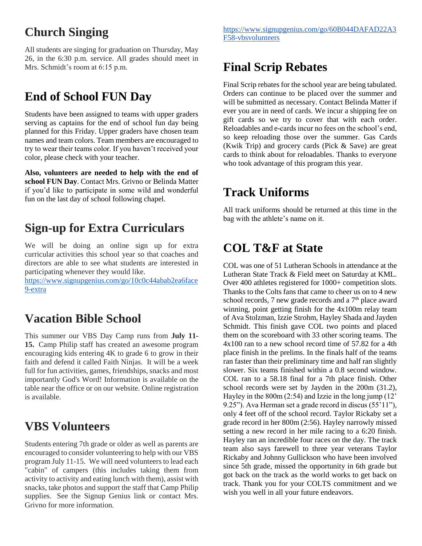## **Church Singing**

All students are singing for graduation on Thursday, May 26, in the 6:30 p.m. service. All grades should meet in Mrs. Schmidt's room at 6:15 p.m.

# **End of School FUN Day**

Students have been assigned to teams with upper graders serving as captains for the end of school fun day being planned for this Friday. Upper graders have chosen team names and team colors. Team members are encouraged to try to wear their teams color. If you haven't received your color, please check with your teacher.

**Also, volunteers are needed to help with the end of school FUN Day**. Contact Mrs. Grivno or Belinda Matter if you'd like to participate in some wild and wonderful fun on the last day of school following chapel.

#### **Sign-up for Extra Curriculars**

We will be doing an online sign up for extra curricular activities this school year so that coaches and directors are able to see what students are interested in participating whenever they would like.

[https://www.signupgenius.com/go/10c0c44abab2ea6face](https://www.signupgenius.com/go/10c0c44abab2ea6face9-extra) [9-extra](https://www.signupgenius.com/go/10c0c44abab2ea6face9-extra)

### **Vacation Bible School**

This summer our VBS Day Camp runs from **July 11- 15.** Camp Philip staff has created an awesome program encouraging kids entering 4K to grade 6 to grow in their faith and defend it called Faith Ninjas. It will be a week full for fun activities, games, friendships, snacks and most importantly God's Word! Information is available on the table near the office or on our website. Online registration is available.

#### **VBS Volunteers**

Students entering 7th grade or older as well as parents are encouraged to consider volunteering to help with our VBS program July 11-15. We will need volunteers to lead each "cabin" of campers (this includes taking them from activity to activity and eating lunch with them), assist with snacks, take photos and support the staff that Camp Philip supplies. See the Signup Genius link or contact Mrs. Grivno for more information.

# **Final Scrip Rebates**

Final Scrip rebates for the school year are being tabulated. Orders can continue to be placed over the summer and will be submitted as necessary. Contact Belinda Matter if ever you are in need of cards. We incur a shipping fee on gift cards so we try to cover that with each order. Reloadables and e-cards incur no fees on the school's end, so keep reloading those over the summer. Gas Cards (Kwik Trip) and grocery cards (Pick & Save) are great cards to think about for reloadables. Thanks to everyone who took advantage of this program this year.

#### **Track Uniforms**

All track uniforms should be returned at this time in the bag with the athlete's name on it.

### **COL T&F at State**

COL was one of 51 Lutheran Schools in attendance at the Lutheran State Track & Field meet on Saturday at KML. Over 400 athletes registered for 1000+ competition slots. Thanks to the Colts fans that came to cheer us on to 4 new school records,  $7$  new grade records and a  $7<sup>th</sup>$  place award winning, point getting finish for the 4x100m relay team of Ava Stolzman, Izzie Strohm, Hayley Shada and Jayden Schmidt. This finish gave COL two points and placed them on the scoreboard with 33 other scoring teams. The 4x100 ran to a new school record time of 57.82 for a 4th place finish in the prelims. In the finals half of the teams ran faster than their preliminary time and half ran slightly slower. Six teams finished within a 0.8 second window. COL ran to a 58.18 final for a 7th place finish. Other school records were set by Jayden in the 200m (31.2), Hayley in the 800m (2:54) and Izzie in the long jump (12' 9.25"). Ava Herman set a grade record in discus (55'11"), only 4 feet off of the school record. Taylor Rickaby set a grade record in her 800m (2:56). Hayley narrowly missed setting a new record in her mile racing to a 6:20 finish. Hayley ran an incredible four races on the day. The track team also says farewell to three year veterans Taylor Rickaby and Johnny Gullickson who have been involved since 5th grade, missed the opportunity in 6th grade but got back on the track as the world works to get back on track. Thank you for your COLTS commitment and we wish you well in all your future endeavors.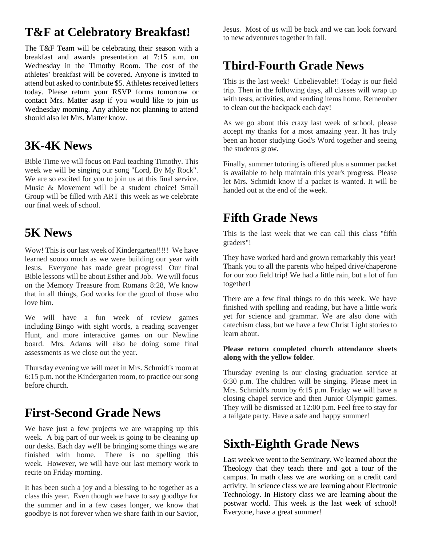## **T&F at Celebratory Breakfast!**

The T&F Team will be celebrating their season with a breakfast and awards presentation at 7:15 a.m. on Wednesday in the Timothy Room. The cost of the athletes' breakfast will be covered. Anyone is invited to attend but asked to contribute \$5. Athletes received letters today. Please return your RSVP forms tomorrow or contact Mrs. Matter asap if you would like to join us Wednesday morning. Any athlete not planning to attend should also let Mrs. Matter know.

### **3K-4K News**

Bible Time we will focus on Paul teaching Timothy. This week we will be singing our song "Lord, By My Rock". We are so excited for you to join us at this final service. Music & Movement will be a student choice! Small Group will be filled with ART this week as we celebrate our final week of school.

#### **5K News**

Wow! This is our last week of Kindergarten!!!!! We have learned soooo much as we were building our year with Jesus. Everyone has made great progress! Our final Bible lessons will be about Esther and Job. We will focus on the Memory Treasure from Romans 8:28, We know that in all things, God works for the good of those who love him.

We will have a fun week of review games including Bingo with sight words, a reading scavenger Hunt, and more interactive games on our Newline board. Mrs. Adams will also be doing some final assessments as we close out the year.

Thursday evening we will meet in Mrs. Schmidt's room at 6:15 p.m. not the Kindergarten room, to practice our song before church.

### **First-Second Grade News**

We have just a few projects we are wrapping up this week. A big part of our week is going to be cleaning up our desks. Each day we'll be bringing some things we are finished with home. There is no spelling this week. However, we will have our last memory work to recite on Friday morning.

It has been such a joy and a blessing to be together as a class this year. Even though we have to say goodbye for the summer and in a few cases longer, we know that goodbye is not forever when we share faith in our Savior, Jesus. Most of us will be back and we can look forward to new adventures together in fall.

# **Third-Fourth Grade News**

This is the last week! Unbelievable!! Today is our field trip. Then in the following days, all classes will wrap up with tests, activities, and sending items home. Remember to clean out the backpack each day!

As we go about this crazy last week of school, please accept my thanks for a most amazing year. It has truly been an honor studying God's Word together and seeing the students grow.

Finally, summer tutoring is offered plus a summer packet is available to help maintain this year's progress. Please let Mrs. Schmidt know if a packet is wanted. It will be handed out at the end of the week.

#### **Fifth Grade News**

This is the last week that we can call this class "fifth graders"!

They have worked hard and grown remarkably this year! Thank you to all the parents who helped drive/chaperone for our zoo field trip! We had a little rain, but a lot of fun together!

There are a few final things to do this week. We have finished with spelling and reading, but have a little work yet for science and grammar. We are also done with catechism class, but we have a few Christ Light stories to learn about.

#### **Please return completed church attendance sheets along with the yellow folder**.

Thursday evening is our closing graduation service at 6:30 p.m. The children will be singing. Please meet in Mrs. Schmidt's room by 6:15 p.m. Friday we will have a closing chapel service and then Junior Olympic games. They will be dismissed at 12:00 p.m. Feel free to stay for a tailgate party. Have a safe and happy summer!

### **Sixth-Eighth Grade News**

Last week we went to the Seminary. We learned about the Theology that they teach there and got a tour of the campus. In math class we are working on a credit card activity. In science class we are learning about Electronic Technology. In History class we are learning about the postwar world. This week is the last week of school! Everyone, have a great summer!